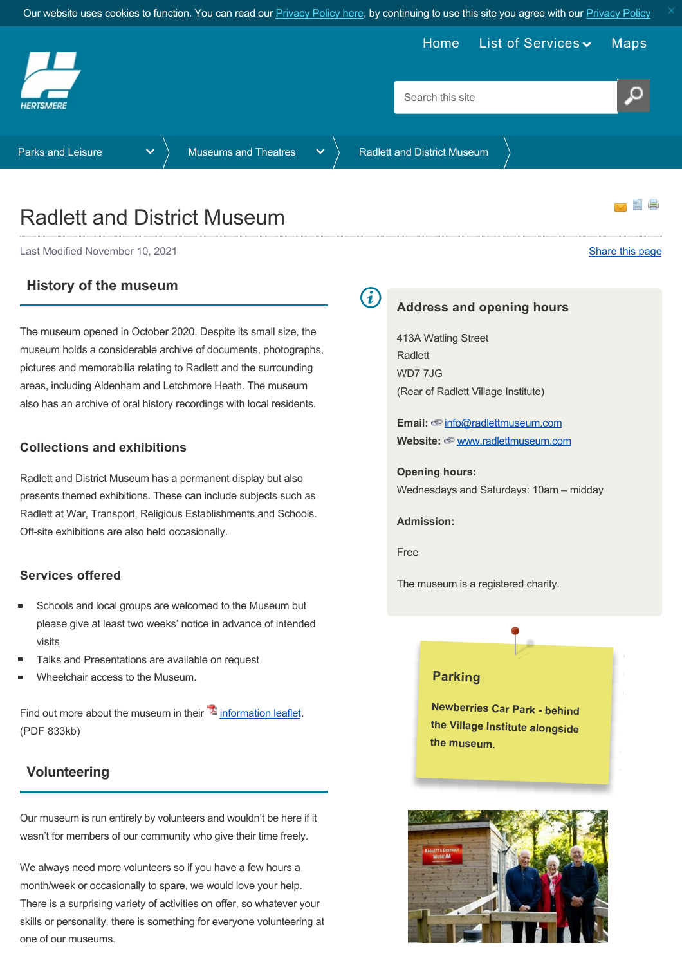<span id="page-0-0"></span>

# Radlett and District Museum

Last Modified November 10, 2021 [Share this page](http://www.addthis.com/bookmark.php?v=250&pubid=xa-502e5fd570edcb1e) of the state of the state of the state of the state of the state of the state of the state of the state of the state of the state of the state of the state of the state of th

## **History of the museum**

The museum opened in October 2020. Despite its small size, the museum holds a considerable archive of documents, photographs, pictures and memorabilia relating to Radlett and the surrounding areas, including Aldenham and Letchmore Heath. The museum also has an archive of oral history recordings with local residents.

### **Collections and exhibitions**

Radlett and District Museum has a permanent display but also presents themed exhibitions. These can include subjects such as Radlett at War, Transport, Religious Establishments and Schools. Off-site exhibitions are also held occasionally.

### **Services offered**

- Schools and local groups are welcomed to the Museum but please give at least two weeks' notice in advance of intended visits
- Talks and Presentations are available on request
- Wheelchair access to the Museum.

Find out more about the museum in their  $\mathbb{\Sigma}$  [information leaflet.](https://www.hertsmere.gov.uk/Documents/08-Parks--Leisure/Museums--Galleries/Radlett-and-District-Museum-information-leaflet.pdf) (PDF 833kb)

## **Volunteering**

Our museum is run entirely by volunteers and wouldn't be here if it wasn't for members of our community who give their time freely.

We always need more volunteers so if you have a few hours a month/week or occasionally to spare, we would love your help. There is a surprising variety of activities on offer, so whatever your skills or personality, there is something for everyone volunteering at one of our museums.

G)

#### **Address and opening hours**

413A Watling Street **Radlett** WD7 7JG (Rear of Radlett Village Institute)

Email:  $\textcircled{e}$  [info@radlettmuseum.com](mailto:info@radlettmuseum.com) **Website:** [www.radlettmuseum.com](http://www.radlettmuseum.com/)

**Opening hours:** Wednesdays and Saturdays: 10am – midday

**Admission:**

Free

The museum is a registered charity.



**Newberries Car Park - behind the Village Institute alongside the museum.**